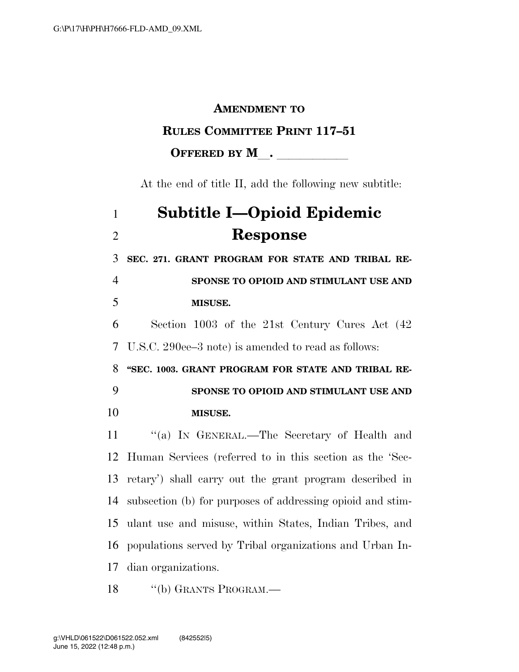### **AMENDMENT TO**

### **RULES COMMITTEE PRINT 117–51**

### **OFFERED BY M** .

At the end of title II, add the following new subtitle:

# **Subtitle I—Opioid Epidemic Response**

 **SEC. 271. GRANT PROGRAM FOR STATE AND TRIBAL RE-SPONSE TO OPIOID AND STIMULANT USE AND** 

#### **MISUSE.**

 Section 1003 of the 21st Century Cures Act (42 U.S.C. 290ee–3 note) is amended to read as follows:

 **''SEC. 1003. GRANT PROGRAM FOR STATE AND TRIBAL RE-SPONSE TO OPIOID AND STIMULANT USE AND** 

**MISUSE.** 

 ''(a) IN GENERAL.—The Secretary of Health and Human Services (referred to in this section as the 'Sec- retary') shall carry out the grant program described in subsection (b) for purposes of addressing opioid and stim- ulant use and misuse, within States, Indian Tribes, and populations served by Tribal organizations and Urban In-dian organizations.

18 "(b) GRANTS PROGRAM.—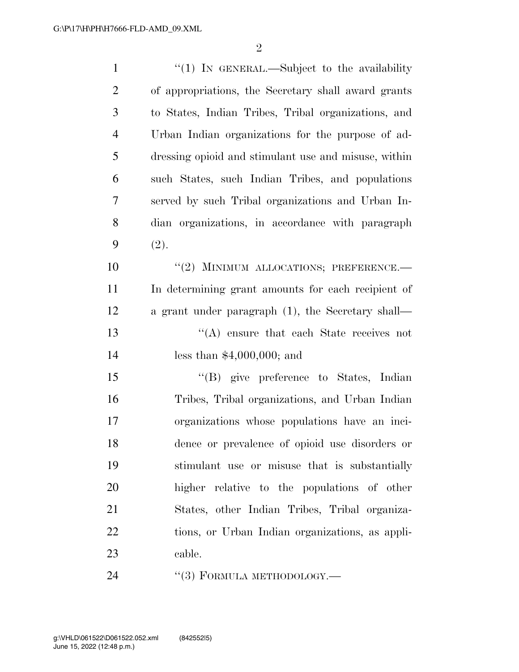| $\mathbf{1}$     | " $(1)$ IN GENERAL.—Subject to the availability      |
|------------------|------------------------------------------------------|
| $\overline{2}$   | of appropriations, the Secretary shall award grants  |
| 3                | to States, Indian Tribes, Tribal organizations, and  |
| $\overline{4}$   | Urban Indian organizations for the purpose of ad-    |
| 5                | dressing opioid and stimulant use and misuse, within |
| 6                | such States, such Indian Tribes, and populations     |
| 7                | served by such Tribal organizations and Urban In-    |
| 8                | dian organizations, in accordance with paragraph     |
| 9                | (2).                                                 |
| 10               | "(2) MINIMUM ALLOCATIONS; PREFERENCE.                |
| 11               | In determining grant amounts for each recipient of   |
| 12               | a grant under paragraph (1), the Secretary shall—    |
| 13               | "(A) ensure that each State receives not             |
| 14               | less than $$4,000,000;$ and                          |
| 15               | "(B) give preference to States, Indian               |
| 16               | Tribes, Tribal organizations, and Urban Indian       |
| 17               | organizations whose populations have an inci-        |
| 18               | dence or prevalence of opioid use disorders or       |
| 19               | stimulant use or misuse that is substantially        |
| 20               | higher relative to the populations of other          |
| 21               | States, other Indian Tribes, Tribal organiza-        |
| 22               | tions, or Urban Indian organizations, as appli-      |
| 23               | cable.                                               |
| $\sim$ $\lambda$ |                                                      |

24 "(3) FORMULA METHODOLOGY.—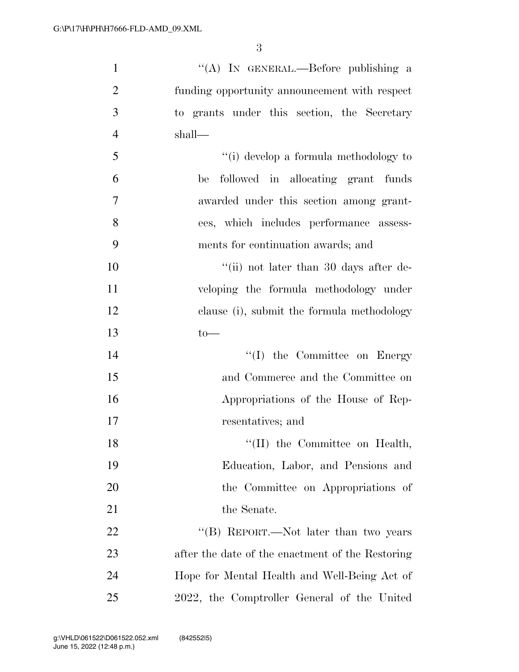| $\mathbf{1}$   | "(A) IN GENERAL.—Before publishing a             |
|----------------|--------------------------------------------------|
| $\overline{2}$ | funding opportunity announcement with respect    |
| 3              | to grants under this section, the Secretary      |
| $\overline{4}$ | shall—                                           |
| 5              | "(i) develop a formula methodology to            |
| 6              | followed in allocating grant funds<br>be         |
| 7              | awarded under this section among grant-          |
| 8              | ees, which includes performance assess-          |
| 9              | ments for continuation awards; and               |
| 10             | "(ii) not later than 30 days after de-           |
| 11             | veloping the formula methodology under           |
| 12             | clause (i), submit the formula methodology       |
| 13             | $to-$                                            |
| 14             | $\lq\lq$ (I) the Committee on Energy             |
| 15             | and Commerce and the Committee on                |
| 16             | Appropriations of the House of Rep-              |
| 17             | resentatives; and                                |
| 18             | $\lq\lq$ (II) the Committee on Health,           |
| 19             | Education, Labor, and Pensions and               |
| 20             | the Committee on Appropriations of               |
| 21             | the Senate.                                      |
| 22             | "(B) REPORT.—Not later than two years            |
| 23             | after the date of the enactment of the Restoring |
| 24             | Hope for Mental Health and Well-Being Act of     |
| 25             | 2022, the Comptroller General of the United      |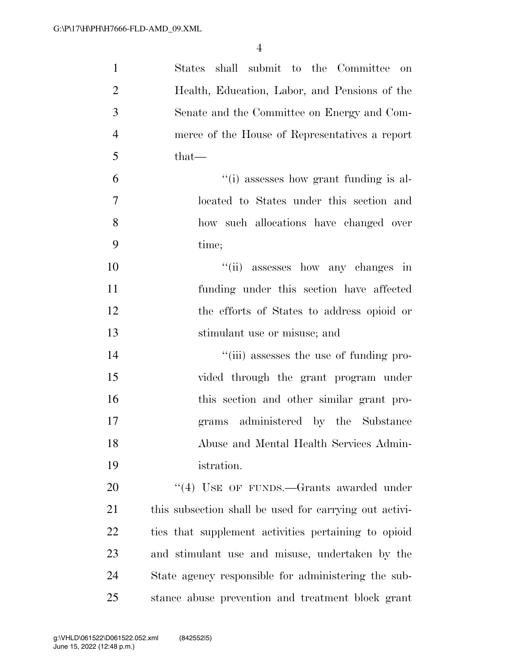| $\mathbf{1}$   | States shall submit to the Committee on                |
|----------------|--------------------------------------------------------|
| $\overline{2}$ | Health, Education, Labor, and Pensions of the          |
| 3              | Senate and the Committee on Energy and Com-            |
| $\overline{4}$ | merce of the House of Representatives a report         |
| 5              | $that-$                                                |
| 6              | "(i) assesses how grant funding is al-                 |
| $\tau$         | located to States under this section and               |
| 8              | how such allocations have changed over                 |
| 9              | time;                                                  |
| 10             | "(ii) assesses how any changes in                      |
| 11             | funding under this section have affected               |
| 12             | the efforts of States to address opioid or             |
| 13             | stimulant use or misuse; and                           |
| 14             | "(iii) assesses the use of funding pro-                |
| 15             | vided through the grant program under                  |
| 16             | this section and other similar grant pro-              |
| 17             | grams administered by the Substance                    |
| 18             | Abuse and Mental Health Services Admin-                |
| 19             | istration.                                             |
| 20             | "(4) USE OF FUNDS.—Grants awarded under                |
| 21             | this subsection shall be used for carrying out activi- |
| 22             | ties that supplement activities pertaining to opioid   |
| 23             | and stimulant use and misuse, undertaken by the        |
| 24             | State agency responsible for administering the sub-    |
| 25             | stance abuse prevention and treatment block grant      |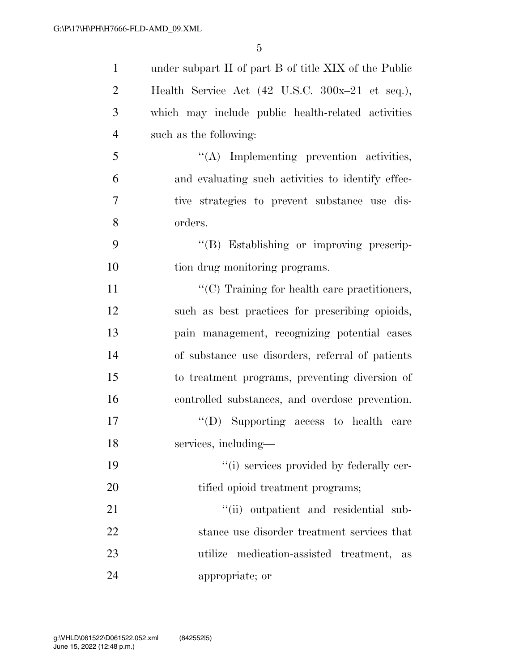| $\mathbf{1}$   | under subpart II of part B of title XIX of the Public              |
|----------------|--------------------------------------------------------------------|
| $\overline{2}$ | Health Service Act $(42 \text{ U.S.C. } 300x-21 \text{ et seq.}),$ |
| 3              | which may include public health-related activities                 |
| $\overline{4}$ | such as the following:                                             |
| 5              | "(A) Implementing prevention activities,                           |
| 6              | and evaluating such activities to identify effec-                  |
| 7              | tive strategies to prevent substance use dis-                      |
| 8              | orders.                                                            |
| 9              | "(B) Establishing or improving prescrip-                           |
| 10             | tion drug monitoring programs.                                     |
| 11             | "(C) Training for health care practitioners,                       |
| 12             | such as best practices for prescribing opioids,                    |
| 13             | pain management, recognizing potential cases                       |
| 14             | of substance use disorders, referral of patients                   |
| 15             | to treatment programs, preventing diversion of                     |
| 16             | controlled substances, and overdose prevention.                    |
| 17             | "(D) Supporting access to health care                              |
| 18             | services, including-                                               |
| 19             | "(i) services provided by federally cer-                           |
| 20             | tified opioid treatment programs;                                  |
| 21             | "(ii) outpatient and residential sub-                              |
| 22             | stance use disorder treatment services that                        |
| 23             | utilize medication-assisted treatment, as                          |
| 24             | appropriate; or                                                    |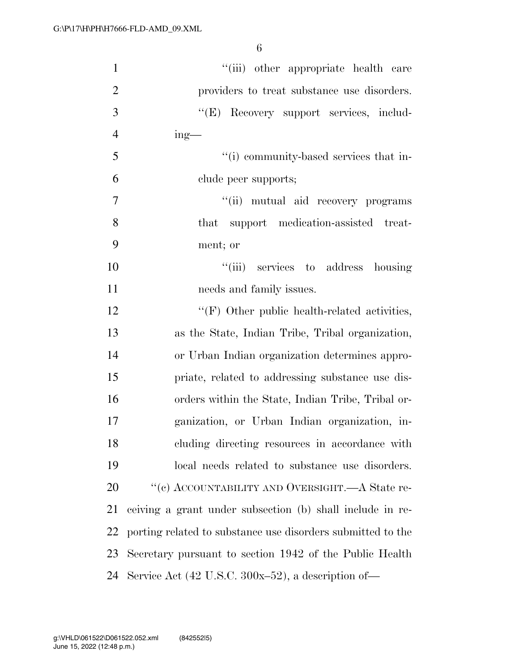| $\mathbf{1}$   | "(iii) other appropriate health care                        |
|----------------|-------------------------------------------------------------|
| $\overline{2}$ | providers to treat substance use disorders.                 |
| 3              | "(E) Recovery support services, includ-                     |
| $\overline{4}$ | $ing$ —                                                     |
| 5              | "(i) community-based services that in-                      |
| 6              | clude peer supports;                                        |
| $\overline{7}$ | "(ii) mutual aid recovery programs                          |
| 8              | that support medication-assisted treat-                     |
| 9              | ment; or                                                    |
| 10             | "(iii) services to address housing                          |
| 11             | needs and family issues.                                    |
| 12             | $\lq\lq(F)$ Other public health-related activities,         |
| 13             | as the State, Indian Tribe, Tribal organization,            |
| 14             | or Urban Indian organization determines appro-              |
| 15             | priate, related to addressing substance use dis-            |
| 16             | orders within the State, Indian Tribe, Tribal or-           |
| 17             | ganization, or Urban Indian organization, in-               |
| 18             | cluding directing resources in accordance with              |
| 19             | local needs related to substance use disorders.             |
| 20             | "(c) ACCOUNTABILITY AND OVERSIGHT.—A State re-              |
| 21             | ceiving a grant under subsection (b) shall include in re-   |
| 22             | porting related to substance use disorders submitted to the |
| 23             | Secretary pursuant to section 1942 of the Public Health     |
| 24             | Service Act (42 U.S.C. 300x-52), a description of-          |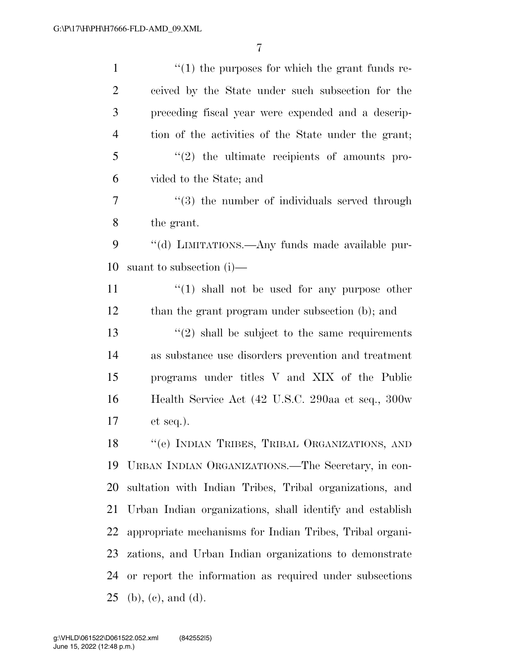| $\mathbf{1}$   | $\lq(1)$ the purposes for which the grant funds re-            |
|----------------|----------------------------------------------------------------|
| $\overline{2}$ | ceived by the State under such subsection for the              |
| 3              | preceding fiscal year were expended and a descrip-             |
| $\overline{4}$ | tion of the activities of the State under the grant;           |
| 5              | $\lq(2)$ the ultimate recipients of amounts pro-               |
| 6              | vided to the State; and                                        |
| 7              | $\cdot\cdot\cdot(3)$ the number of individuals served through  |
| 8              | the grant.                                                     |
| 9              | "(d) LIMITATIONS.—Any funds made available pur-                |
| 10             | suant to subsection $(i)$ —                                    |
| 11             | $\lq(1)$ shall not be used for any purpose other               |
| 12             | than the grant program under subsection (b); and               |
| 13             | $\cdot\cdot\cdot(2)$ shall be subject to the same requirements |
| 14             | as substance use disorders prevention and treatment            |
| 15             | programs under titles V and XIX of the Public                  |
| 16             | Health Service Act (42 U.S.C. 290aa et seq., 300w              |
| 17             | $et seq.$ ).                                                   |
| 18             | "(e) INDIAN TRIBES, TRIBAL ORGANIZATIONS, AND                  |
| 19             | URBAN INDIAN ORGANIZATIONS.—The Secretary, in con-             |
| 20             | sultation with Indian Tribes, Tribal organizations, and        |
| 21             | Urban Indian organizations, shall identify and establish       |
| 22             | appropriate mechanisms for Indian Tribes, Tribal organi-       |
| 23             | zations, and Urban Indian organizations to demonstrate         |
| 24             | or report the information as required under subsections        |
| 25             | $(b)$ , $(c)$ , and $(d)$ .                                    |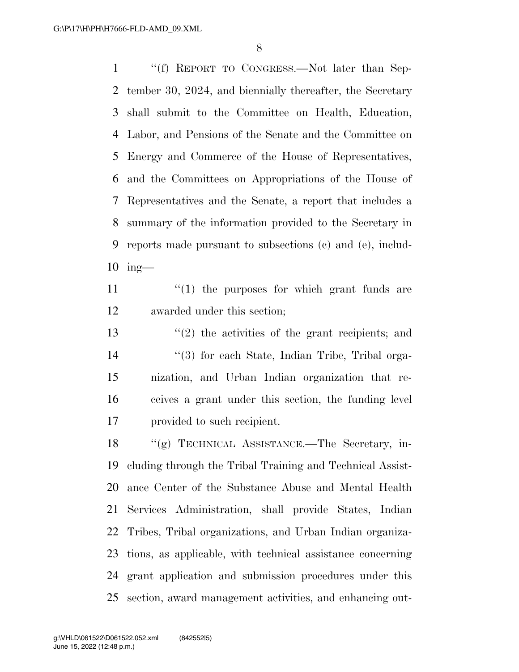''(f) REPORT TO CONGRESS.—Not later than Sep- tember 30, 2024, and biennially thereafter, the Secretary shall submit to the Committee on Health, Education, Labor, and Pensions of the Senate and the Committee on Energy and Commerce of the House of Representatives, and the Committees on Appropriations of the House of Representatives and the Senate, a report that includes a summary of the information provided to the Secretary in reports made pursuant to subsections (c) and (e), includ-ing—

11  $\frac{1}{2}$   $\frac{1}{2}$  the purposes for which grant funds are awarded under this section;

 ''(2) the activities of the grant recipients; and 14 ''(3) for each State, Indian Tribe, Tribal orga- nization, and Urban Indian organization that re- ceives a grant under this section, the funding level provided to such recipient.

 ''(g) TECHNICAL ASSISTANCE.—The Secretary, in- cluding through the Tribal Training and Technical Assist- ance Center of the Substance Abuse and Mental Health Services Administration, shall provide States, Indian Tribes, Tribal organizations, and Urban Indian organiza- tions, as applicable, with technical assistance concerning grant application and submission procedures under this section, award management activities, and enhancing out-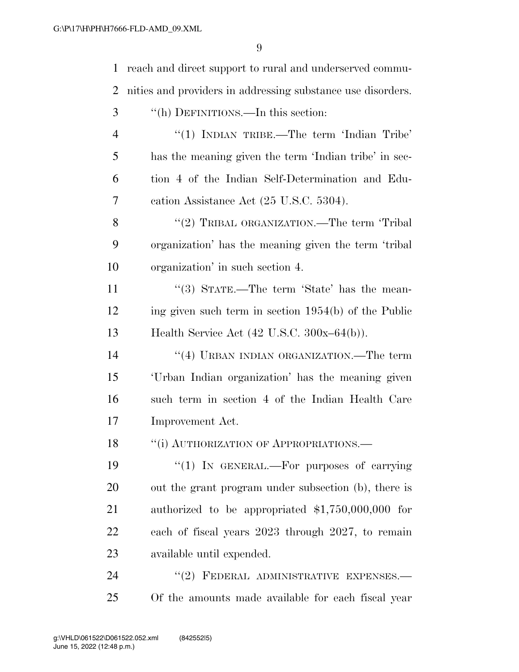reach and direct support to rural and underserved commu- nities and providers in addressing substance use disorders. ''(h) DEFINITIONS.—In this section: 4 "(1) INDIAN TRIBE.—The term 'Indian Tribe' has the meaning given the term 'Indian tribe' in sec- tion 4 of the Indian Self-Determination and Edu- cation Assistance Act (25 U.S.C. 5304). 8 "(2) TRIBAL ORGANIZATION.—The term 'Tribal organization' has the meaning given the term 'tribal organization' in such section 4. 11 ''(3) STATE.—The term 'State' has the mean- ing given such term in section 1954(b) of the Public Health Service Act (42 U.S.C. 300x–64(b)). 14 ''(4) URBAN INDIAN ORGANIZATION.—The term 'Urban Indian organization' has the meaning given such term in section 4 of the Indian Health Care Improvement Act. 18 "(i) AUTHORIZATION OF APPROPRIATIONS.— 19 "(1) In GENERAL.—For purposes of carrying out the grant program under subsection (b), there is authorized to be appropriated \$1,750,000,000 for each of fiscal years 2023 through 2027, to remain available until expended. 24 "(2) FEDERAL ADMINISTRATIVE EXPENSES. Of the amounts made available for each fiscal year